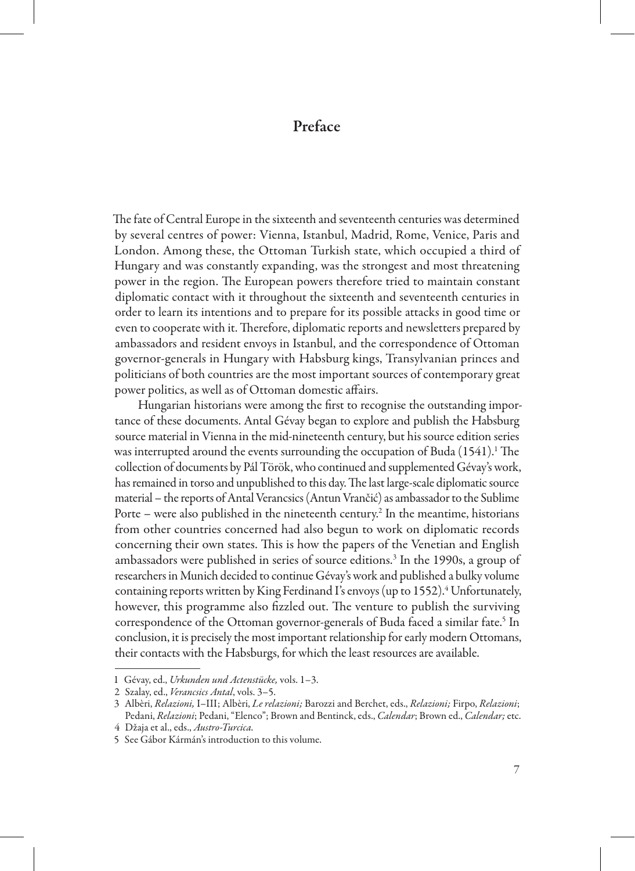## Preface

The fate of Central Europe in the sixteenth and seventeenth centuries was determined by several centres of power: Vienna, Istanbul, Madrid, Rome, Venice, Paris and London. Among these, the Ottoman Turkish state, which occupied a third of Hungary and was constantly expanding, was the strongest and most threatening power in the region. The European powers therefore tried to maintain constant diplomatic contact with it throughout the sixteenth and seventeenth centuries in order to learn its intentions and to prepare for its possible attacks in good time or even to cooperate with it. Therefore, diplomatic reports and newsletters prepared by ambassadors and resident envoys in Istanbul, and the correspondence of Ottoman governor-generals in Hungary with Habsburg kings, Transylvanian princes and politicians of both countries are the most important sources of contemporary great power politics, as well as of Ottoman domestic affairs.

Hungarian historians were among the first to recognise the outstanding importance of these documents. Antal Gévay began to explore and publish the Habsburg source material in Vienna in the mid-nineteenth century, but his source edition series was interrupted around the events surrounding the occupation of Buda (1541).<sup>1</sup> The collection of documents by Pál Török, who continued and supplemented Gévay's work, has remained in torso and unpublished to this day. The last large-scale diplomatic source material – the reports of Antal Verancsics (Antun Vrančić) as ambassador to the Sublime Porte  $-$  were also published in the nineteenth century.<sup>2</sup> In the meantime, historians from other countries concerned had also begun to work on diplomatic records concerning their own states. This is how the papers of the Venetian and English ambassadors were published in series of source editions.<sup>3</sup> In the 1990s, a group of researchers in Munich decided to continue Gévay's work and published a bulky volume containing reports written by King Ferdinand I's envoys (up to 1552).<sup>4</sup> Unfortunately, however, this programme also fizzled out. The venture to publish the surviving correspondence of the Ottoman governor-generals of Buda faced a similar fate.<sup>5</sup> In conclusion, it is precisely the most important relationship for early modern Ottomans, their contacts with the Habsburgs, for which the least resources are available.

<sup>1</sup> Gévay, ed., *Urkunden und Actenstücke,* vols. 1–3.

<sup>2</sup> Szalay, ed., *Verancsics Antal*, vols. 3–5.

<sup>3</sup> Albèri, *Relazioni,* I–III; Albèri, *Le relazioni;* Barozzi and Berchet, eds., *Relazioni;* Firpo, *Relazioni*; Pedani, *Relazioni*; Pedani, "Elenco"; Brown and Bentinck, eds., *Calendar*; Brown ed., *Calendar;* etc.

<sup>4</sup> Džaja et al., eds., *Austro-Turcica.*

<sup>5</sup> See Gábor Kármán's introduction to this volume.